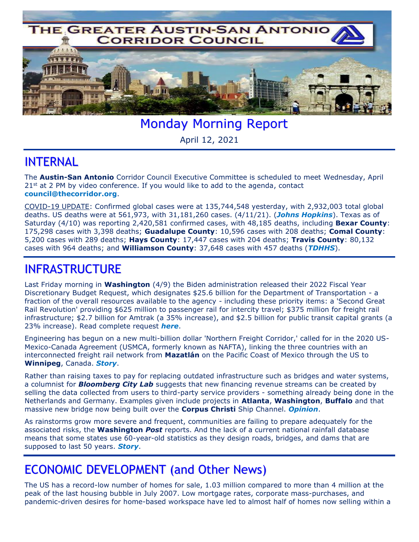

Monday Morning Report

April 12, 2021

## INTERNAL

The **Austin-San Antonio** Corridor Council Executive Committee is scheduled to meet Wednesday, April  $21<sup>st</sup>$  at 2 PM by video conference. If you would like to add to the agenda, contact **[council@thecorridor.org](mailto:council@thecorridor.org)**.

COVID-19 UPDATE: Confirmed global cases were at 135,744,548 yesterday, with 2,932,003 total global deaths. US deaths were at 561,973, with 31,181,260 cases. (4/11/21). (*[Johns Hopkins](https://www.arcgis.com/apps/opsdashboard/index.html#/bda7594740fd40299423467b48e9ecf6)*). Texas as of Saturday (4/10) was reporting 2,420,581 confirmed cases, with 48,185 deaths, including **Bexar County**: 175,298 cases with 3,398 deaths; **Guadalupe County**: 10,596 cases with 208 deaths; **Comal County**: 5,200 cases with 289 deaths; **Hays County**: 17,447 cases with 204 deaths; **Travis County**: 80,132 cases with 964 deaths; and **Williamson County**: 37,648 cases with 457 deaths (*[TDHHS](https://txdshs.maps.arcgis.com/apps/opsdashboard/index.html#/ed483ecd702b4298ab01e8b9cafc8b83)*).

## INFRASTRUCTURE

Last Friday morning in **Washington** (4/9) the Biden administration released their 2022 Fiscal Year Discretionary Budget Request, which designates \$25.6 billion for the Department of Transportation - a fraction of the overall resources available to the agency - including these priority items: a 'Second Great Rail Revolution' providing \$625 million to passenger rail for intercity travel; \$375 million for freight rail infrastructure; \$2.7 billion for Amtrak (a 35% increase), and \$2.5 billion for public transit capital grants (a 23% increase). Read complete request *[here](https://www.whitehouse.gov/wp-content/uploads/2021/04/FY2022-Discretionary-Request.pdf)*.

Engineering has begun on a new multi-billion dollar 'Northern Freight Corridor,' called for in the 2020 US-Mexico-Canada Agreement (USMCA, formerly known as NAFTA), linking the three countries with an interconnected freight rail network from **Mazatlán** on the Pacific Coast of Mexico through the US to **Winnipeg**, Canada. *[Story](https://www.rtands.com/freight/class-1/engage-construction-will-oversee-canadian-portion-of-1b-mexico-canada-rail-link-project/?utm_source=&utm_medium=email&utm_campaign=24255)*.

Rather than raising taxes to pay for replacing outdated infrastructure such as bridges and water systems, a columnist for *Bloomberg City Lab* suggests that new financing revenue streams can be created by selling the data collected from users to third-party service providers - something already being done in the Netherlands and Germany. Examples given include projects in **Atlanta**, **Washington**, **Buffalo** and that massive new bridge now being built over the **Corpus Christi** Ship Channel. *[Opinion](https://www.bloomberg.com/news/articles/2021-04-07/use-data-not-taxes-to-pay-for-infrastructure?srnd=citylab)*.

As rainstorms grow more severe and frequent, communities are failing to prepare adequately for the associated risks, the **Washington** *Post* reports. And the lack of a current national rainfall database means that some states use 60-year-old statistics as they design roads, bridges, and dams that are supposed to last 50 years. *[Story](https://www.washingtonpost.com/climate-environment/2021/04/09/climate-change-rainfall/)*.

## ECONOMIC DEVELOPMENT (and Other News)

The US has a record-low number of homes for sale, 1.03 million compared to more than 4 million at the peak of the last housing bubble in July 2007. Low mortgage rates, corporate mass-purchases, and pandemic-driven desires for home-based workspace have led to almost half of homes now selling within a